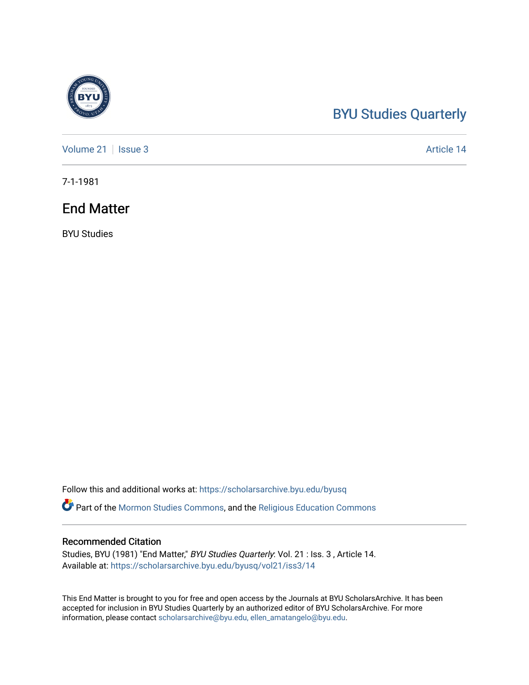## [BYU Studies Quarterly](https://scholarsarchive.byu.edu/byusq)

[Volume 21](https://scholarsarchive.byu.edu/byusq/vol21) | [Issue 3](https://scholarsarchive.byu.edu/byusq/vol21/iss3) Article 14

7-1-1981

## End Matter

BYU Studies

Follow this and additional works at: [https://scholarsarchive.byu.edu/byusq](https://scholarsarchive.byu.edu/byusq?utm_source=scholarsarchive.byu.edu%2Fbyusq%2Fvol21%2Fiss3%2F14&utm_medium=PDF&utm_campaign=PDFCoverPages) 

Part of the [Mormon Studies Commons](http://network.bepress.com/hgg/discipline/1360?utm_source=scholarsarchive.byu.edu%2Fbyusq%2Fvol21%2Fiss3%2F14&utm_medium=PDF&utm_campaign=PDFCoverPages), and the [Religious Education Commons](http://network.bepress.com/hgg/discipline/1414?utm_source=scholarsarchive.byu.edu%2Fbyusq%2Fvol21%2Fiss3%2F14&utm_medium=PDF&utm_campaign=PDFCoverPages) 

## Recommended Citation

Studies, BYU (1981) "End Matter," BYU Studies Quarterly: Vol. 21 : Iss. 3 , Article 14. Available at: [https://scholarsarchive.byu.edu/byusq/vol21/iss3/14](https://scholarsarchive.byu.edu/byusq/vol21/iss3/14?utm_source=scholarsarchive.byu.edu%2Fbyusq%2Fvol21%2Fiss3%2F14&utm_medium=PDF&utm_campaign=PDFCoverPages) 

This End Matter is brought to you for free and open access by the Journals at BYU ScholarsArchive. It has been accepted for inclusion in BYU Studies Quarterly by an authorized editor of BYU ScholarsArchive. For more information, please contact [scholarsarchive@byu.edu, ellen\\_amatangelo@byu.edu.](mailto:scholarsarchive@byu.edu,%20ellen_amatangelo@byu.edu)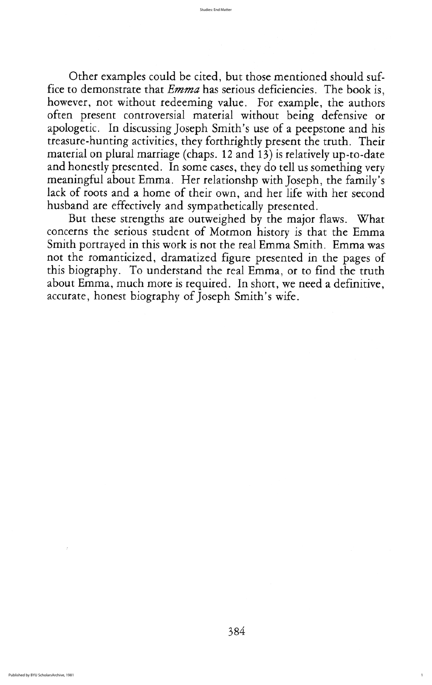Other examples could be cited, but those mentioned should suffice to demonstrate that *Emma* has serious deficiencies. The book is, however, not without redeeming value. For example, the authors often present controversial material without being defensive or apologetic. In discussing Joseph Smith's use of a peepstone and his treasure-hunting activities, they forthrightly present the truth. Their material on plural marriage (chaps. 12 and 13) is relatively up-to-date and honestly presented. In some cases, they do tell us something very meaningful about Emma. Her relationshp with Joseph, the family's lack of roots and a home of their own, and her life with her second husband are effectively and sympathetically presented

But these strengths are outweighed by the major flaws. What concerns the serious student of Mormon history is that the Emma Smith portrayed in this work is not the real Emma Smith. Emma was not the romanticized, dramatized figure presented in the pages of this biography. To understand the real Emma, or to find the truth about Emma, much more is required. In short, we need a definitive, accurate, honest biography of Joseph Smith's wife.